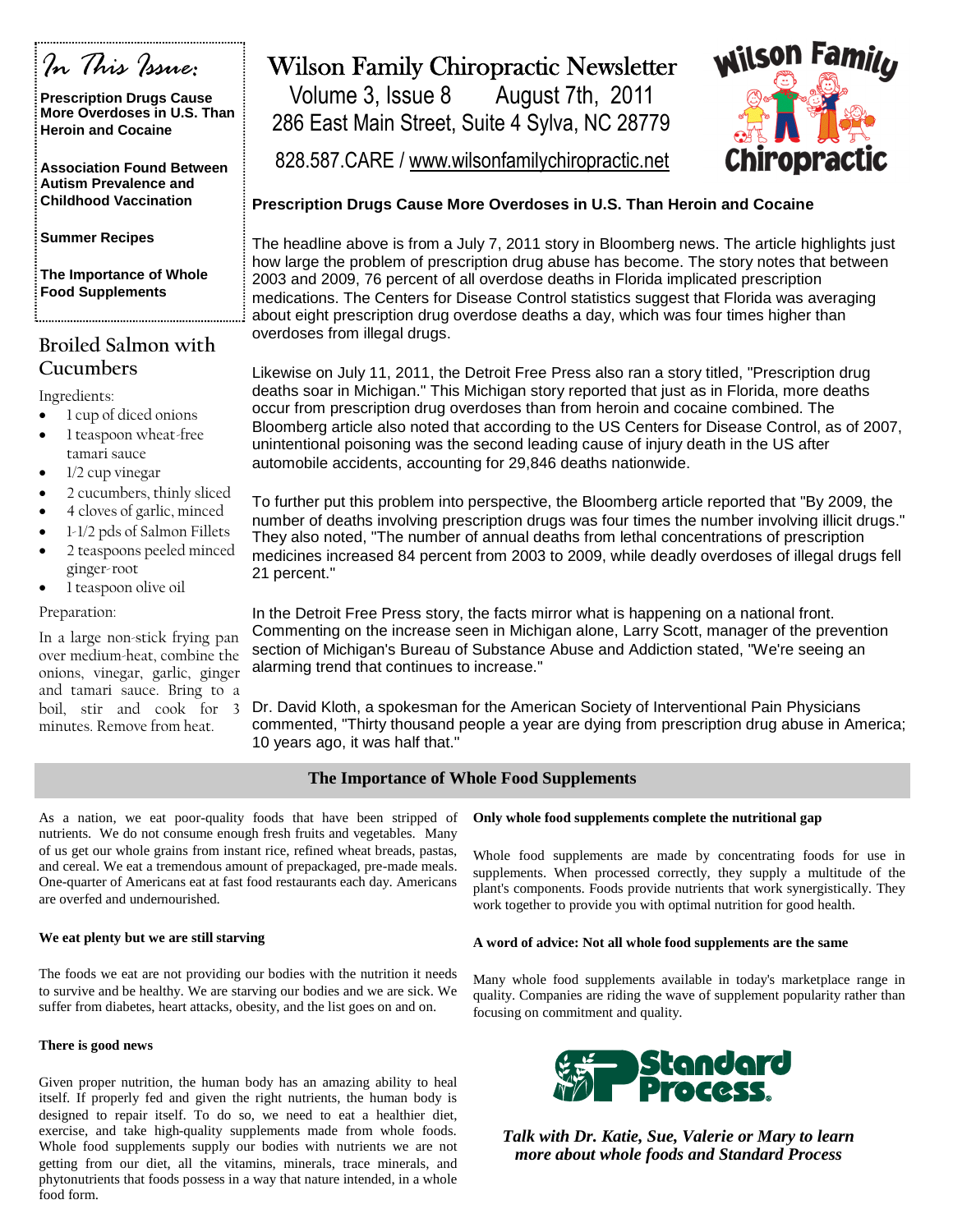

**Prescription Drugs Cause More Overdoses in U.S. Than Heroin and Cocaine**

**Association Found Between Autism Prevalence and Childhood Vaccination**

**Summer Recipes**

**The Importance of Whole Food Supplements**

## **Broiled Salmon with Cucumbers**

Ingredients:

- 1 cup of diced onions
- 1 teaspoon wheat-free tamari sauce
- 1/2 cup vinegar
- 2 cucumbers, thinly sliced
- 4 cloves of garlic, minced
- 1-1/2 pds of Salmon Fillets
- 2 teaspoons peeled minced ginger-root
- 1 teaspoon olive oil

#### Preparation:

In a large non-stick frying pan over medium-heat, combine the onions, vinegar, garlic, ginger and tamari sauce. Bring to a boil, stir and cook for 3 minutes. Remove from heat.

# Wilson Family Chiropractic Newsletter

Volume 3, Issue 8 August 7th, 2011 286 East Main Street, Suite 4 Sylva, NC 28779



828.587.CARE / www.wilsonfamilychiropractic.net

### **Prescription Drugs Cause More Overdoses in U.S. Than Heroin and Cocaine**

The headline above is from a July 7, 2011 story in Bloomberg news. The article highlights just how large the problem of prescription drug abuse has become. The story notes that between 2003 and 2009, 76 percent of all overdose deaths in Florida implicated prescription medications. The Centers for Disease Control statistics suggest that Florida was averaging about eight prescription drug overdose deaths a day, which was four times higher than overdoses from illegal drugs.

Likewise on July 11, 2011, the Detroit Free Press also ran a story titled, "Prescription drug deaths soar in Michigan." This Michigan story reported that just as in Florida, more deaths occur from prescription drug overdoses than from heroin and cocaine combined. The Bloomberg article also noted that according to the US Centers for Disease Control, as of 2007, unintentional poisoning was the second leading cause of injury death in the US after automobile accidents, accounting for 29,846 deaths nationwide.

To further put this problem into perspective, the Bloomberg article reported that "By 2009, the number of deaths involving prescription drugs was four times the number involving illicit drugs." They also noted, "The number of annual deaths from lethal concentrations of prescription medicines increased 84 percent from 2003 to 2009, while deadly overdoses of illegal drugs fell 21 percent."

In the Detroit Free Press story, the facts mirror what is happening on a national front. Commenting on the increase seen in Michigan alone, Larry Scott, manager of the prevention section of Michigan's Bureau of Substance Abuse and Addiction stated, "We're seeing an alarming trend that continues to increase."

Dr. David Kloth, a spokesman for the American Society of Interventional Pain Physicians commented, "Thirty thousand people a year are dying from prescription drug abuse in America; 10 years ago, it was half that."

### **The Importance of Whole Food Supplements**

As a nation, we eat poor-quality foods that have been stripped of nutrients. We do not consume enough fresh fruits and vegetables. Many of us get our whole grains from instant rice, refined wheat breads, pastas, and cereal. We eat a tremendous amount of prepackaged, pre-made meals. One-quarter of Americans eat at fast food restaurants each day. Americans are overfed and undernourished.

#### **We eat plenty but we are still starving**

The foods we eat are not providing our bodies with the nutrition it needs to survive and be healthy. We are starving our bodies and we are sick. We suffer from diabetes, heart attacks, obesity, and the list goes on and on.

#### **There is good news**

Given proper nutrition, the human body has an amazing ability to heal itself. If properly fed and given the right nutrients, the human body is designed to repair itself. To do so, we need to eat a healthier diet, exercise, and take high-quality supplements made from whole foods. Whole food supplements supply our bodies with nutrients we are not getting from our diet, all the vitamins, minerals, trace minerals, and phytonutrients that foods possess in a way that nature intended, in a whole food form.

### **Only whole food supplements complete the nutritional gap**

Whole food supplements are made by concentrating foods for use in supplements. When processed correctly, they supply a multitude of the plant's components. Foods provide nutrients that work synergistically. They work together to provide you with optimal nutrition for good health.

#### **A word of advice: Not all whole food supplements are the same**

Many whole food supplements available in today's marketplace range in quality. Companies are riding the wave of supplement popularity rather than focusing on commitment and quality.



*Talk with Dr. Katie, Sue, Valerie or Mary to learn more about whole foods and Standard Process*